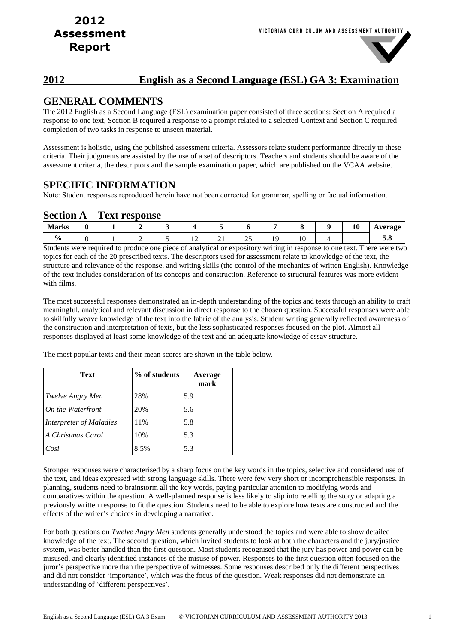### **2012 English as a Second Language (ESL) GA 3: Examination**

### **GENERAL COMMENTS**

The 2012 English as a Second Language (ESL) examination paper consisted of three sections: Section A required a response to one text, Section B required a response to a prompt related to a selected Context and Section C required completion of two tasks in response to unseen material.

Assessment is holistic, using the published assessment criteria. Assessors relate student performance directly to these criteria. Their judgments are assisted by the use of a set of descriptors. Teachers and students should be aware of the assessment criteria, the descriptors and the sample examination paper, which are published on the VCAA website.

### **SPECIFIC INFORMATION**

Note: Student responses reproduced herein have not been corrected for grammar, spelling or factual information.

### **Section A – Text response**

| <b>Marks</b>       |  |  |     |          |    |                | 10 | $T^{\alpha}$<br>Average |
|--------------------|--|--|-----|----------|----|----------------|----|-------------------------|
| $\mathbf{0}$<br>70 |  |  | . . | $\sim$ 1 | ري | $\overline{v}$ |    | <b>STATES</b>           |

Students were required to produce one piece of analytical or expository writing in response to one text. There were two topics for each of the 20 prescribed texts. The descriptors used for assessment relate to knowledge of the text, the structure and relevance of the response, and writing skills (the control of the mechanics of written English). Knowledge of the text includes consideration of its concepts and construction. Reference to structural features was more evident with films.

The most successful responses demonstrated an in-depth understanding of the topics and texts through an ability to craft meaningful, analytical and relevant discussion in direct response to the chosen question. Successful responses were able to skilfully weave knowledge of the text into the fabric of the analysis. Student writing generally reflected awareness of the construction and interpretation of texts, but the less sophisticated responses focused on the plot. Almost all responses displayed at least some knowledge of the text and an adequate knowledge of essay structure.

The most popular texts and their mean scores are shown in the table below.

| Text                    | % of students | Average<br>mark |
|-------------------------|---------------|-----------------|
| <i>Twelve Angry Men</i> | 28%           | 5.9             |
| On the Waterfront       | 20%           | 5.6             |
| Interpreter of Maladies | 11%           | 5.8             |
| A Christmas Carol       | 10%           | 5.3             |
| Cosi                    | 8.5%          | 5.3             |

Stronger responses were characterised by a sharp focus on the key words in the topics, selective and considered use of the text, and ideas expressed with strong language skills. There were few very short or incomprehensible responses. In planning, students need to brainstorm all the key words, paying particular attention to modifying words and comparatives within the question. A well-planned response is less likely to slip into retelling the story or adapting a previously written response to fit the question. Students need to be able to explore how texts are constructed and the effects of the writer's choices in developing a narrative.

For both questions on *Twelve Angry Men* students generally understood the topics and were able to show detailed knowledge of the text. The second question, which invited students to look at both the characters and the jury/justice system, was better handled than the first question. Most students recognised that the jury has power and power can be misused, and clearly identified instances of the misuse of power. Responses to the first question often focused on the juror's perspective more than the perspective of witnesses. Some responses described only the different perspectives and did not consider 'importance', which was the focus of the question. Weak responses did not demonstrate an understanding of 'different perspectives'.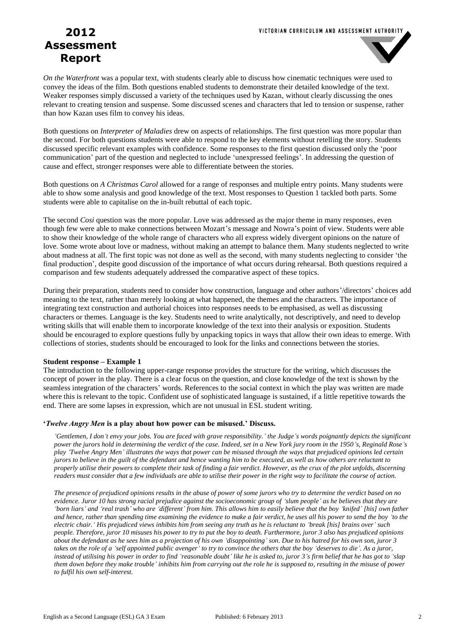

*On the Waterfront* was a popular text, with students clearly able to discuss how cinematic techniques were used to convey the ideas of the film. Both questions enabled students to demonstrate their detailed knowledge of the text. Weaker responses simply discussed a variety of the techniques used by Kazan, without clearly discussing the ones relevant to creating tension and suspense. Some discussed scenes and characters that led to tension or suspense, rather than how Kazan uses film to convey his ideas.

Both questions on *Interpreter of Maladies* drew on aspects of relationships. The first question was more popular than the second. For both questions students were able to respond to the key elements without retelling the story. Students discussed specific relevant examples with confidence. Some responses to the first question discussed only the 'poor communication' part of the question and neglected to include 'unexpressed feelings'. In addressing the question of cause and effect, stronger responses were able to differentiate between the stories.

Both questions on *A Christmas Carol* allowed for a range of responses and multiple entry points. Many students were able to show some analysis and good knowledge of the text. Most responses to Question 1 tackled both parts. Some students were able to capitalise on the in-built rebuttal of each topic.

The second *Cosi* question was the more popular. Love was addressed as the major theme in many responses, even though few were able to make connections between Mozart's message and Nowra's point of view. Students were able to show their knowledge of the whole range of characters who all express widely divergent opinions on the nature of love. Some wrote about love or madness, without making an attempt to balance them. Many students neglected to write about madness at all. The first topic was not done as well as the second, with many students neglecting to consider 'the final production', despite good discussion of the importance of what occurs during rehearsal. Both questions required a comparison and few students adequately addressed the comparative aspect of these topics.

During their preparation, students need to consider how construction, language and other authors'/directors' choices add meaning to the text, rather than merely looking at what happened, the themes and the characters. The importance of integrating text construction and authorial choices into responses needs to be emphasised, as well as discussing characters or themes. Language is the key. Students need to write analytically, not descriptively, and need to develop writing skills that will enable them to incorporate knowledge of the text into their analysis or exposition. Students should be encouraged to explore questions fully by unpacking topics in ways that allow their own ideas to emerge. With collections of stories, students should be encouraged to look for the links and connections between the stories.

#### **Student response – Example 1**

The introduction to the following upper-range response provides the structure for the writing, which discusses the concept of power in the play. There is a clear focus on the question, and close knowledge of the text is shown by the seamless integration of the characters' words. References to the social context in which the play was written are made where this is relevant to the topic. Confident use of sophisticated language is sustained, if a little repetitive towards the end. There are some lapses in expression, which are not unusual in ESL student writing.

#### **'***Twelve Angry Men* **is a play about how power can be misused.' Discuss.**

*'Gentlemen, I don't envy your jobs. You are faced with grave responsibility.' the Judge's words poignantly depicts the significant power the jurors hold in determining the verdict of the case. Indeed, set in a New York jury room in the 1950's, Reginald Rose's play 'Twelve Angry Men' illustrates the ways that power can be misused through the ways that prejudiced opinions led certain jurors to believe in the guilt of the defendant and hence wanting him to be executed, as well as how others are reluctant to properly utilise their powers to complete their task of finding a fair verdict. However, as the crux of the plot unfolds, discerning readers must consider that a few individuals are able to utilise their power in the right way to facilitate the course of action.*

*The presence of prejudiced opinions results in the abuse of power of some jurors who try to determine the verdict based on no evidence. Juror 10 has strong racial prejudice against the socioeconomic group of 'slum people' as he believes that they are 'born liars' and 'real trash' who are 'different' from him. This allows him to easily believe that the boy 'knifed' [his] own father and hence, rather than spending time examining the evidence to make a fair verdict, he uses all his power to send the boy 'to the electric chair.' His prejudiced views inhibits him from seeing any truth as he is reluctant to 'break [his] brains over' such people. Therefore, juror 10 misuses his power to try to put the boy to death. Furthermore, juror 3 also has prejudiced opinions about the defendant as he sees him as a projection of his own 'disappointing' son. Due to his hatred for his own son, juror 3 takes on the role of a 'self appointed public avenger' to try to convince the others that the boy 'deserves to die'. As a juror, instead of utilising his power in order to find 'reasonable doubt' like he is asked to, juror 3's firm belief that he has got to 'slap them down before they make trouble' inhibits him from carrying out the role he is supposed to, resulting in the misuse of power to fulfil his own self-interest.*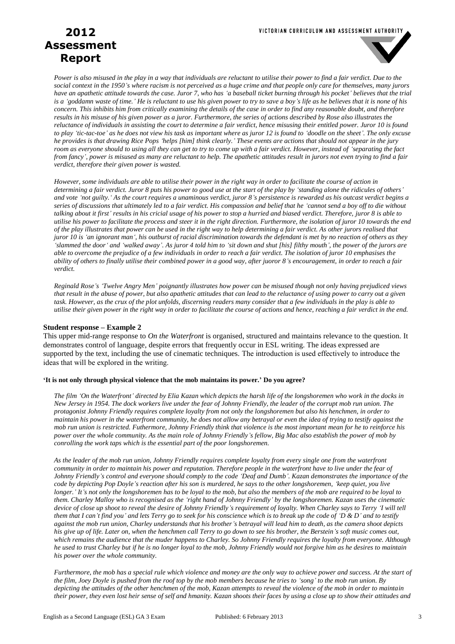#### VICTORIAN CURRICULUM AND ASSESSMENT AUTHORITY

# **2012 Assessment Report**



*Power is also misused in the play in a way that individuals are reluctant to utilise their power to find a fair verdict. Due to the social context in the 1950's where racism is not perceived as a huge crime and that people only care for themselves, many jurors have an apathetic attitude towards the case. Juror 7, who has 'a baseball ticket burning through his pocket' believes that the trial is a 'goddamn waste of time.' He is reluctant to use his given power to try to save a boy's life as he believes that it is none of his concern. This inhibits him from critically examining the details of the case in order to find any reasonable doubt, and therefore results in his misuse of his given power as a juror. Furthermore, the series of actions described by Rose also illustrates the reluctance of individuals in assisting the court to determine a fair verdict, hence misusing their entitled power. Juror 10 is found to play 'tic-tac-toe' as he does not view his task as important where as juror 12 is found to 'doodle on the sheet'. The only excuse he provides is that drawing Rice Pops 'helps [him] think clearly.' These events are actions that should not appear in the jury room as everyone should to using all they can get to try to come up with a fair verdict. However, instead of 'separating the fact from fancy', power is misused as many are reluctant to help. The apathetic attitudes result in jurors not even trying to find a fair verdict, therefore their given power is wasted.*

*However, some individuals are able to utilise their power in the right way in order to facilitate the course of action in determining a fair verdict. Juror 8 puts his power to good use at the start of the play by 'standing alone the ridicules of others' and vote 'not guilty.' As the court requires a unaminous verdict, juror 8's persistence is rewarded as his outcast verdict begins a series of discussions that ultimately led to a fair verdict. His compassion and belief that he 'cannot send a boy off to die without talking about it first' results in his cricial usage of his power to stop a hurried and biased verdict. Therefore, juror 8 is able to utilise his power to facilitate the process and steer it in the right direction. Furthermore, the isolation of juror 10 towards the end of the play illustrates that power can be used in the right way to help determining a fair verdict. As other jurors realised that juror 10 is 'an ignorant man', his outburst of racial discrimination towards the defendant is met by no reaction of others as they 'slammed the door' and 'walked away'. As juror 4 told him to 'sit down and shut [his] filthy mouth', the power of the jurors are able to overcome the prejudice of a few individuals in order to reach a fair verdict. The isolation of juror 10 emphasises the ability of others to finally utilise their combined power in a good way, after juoror 8's encouragement, in order to reach a fair verdict.*

*Reginald Rose's 'Twelve Angry Men' poignantly illustrates how power can be misused though not only having prejudiced views that result in the abuse of power, but also apathetic attitudes that can lead to the reluctance of using power to carry out a given task. However, as the crux of the plot unfolds, discerning readers many consider that a few individuals in the play is able to utilise their given power in the right way in order to facilitate the course of actions and hence, reaching a fair verdict in the end.*

#### **Student response – Example 2**

This upper mid-range response to *On the Waterfront* is organised, structured and maintains relevance to the question. It demonstrates control of language, despite errors that frequently occur in ESL writing. The ideas expressed are supported by the text, including the use of cinematic techniques. The introduction is used effectively to introduce the ideas that will be explored in the writing.

#### **'It is not only through physical violence that the mob maintains its power.' Do you agree?**

*The film 'On the Waterfront' directed by Elia Kazan which depicts the harsh life of the longshoremen who work in the docks in New Jersey in 1954. The dock workers live under the fear of Johnny Friendly, the leader of the corrupt mob run union. The protagonist Johnny Friendly requires complete loyalty from not only the longshoremen but also his henchmen, in order to maintain his power in the waterfront community, he does not allow any betrayal or even the idea of trying to testify against the mob run union is restricted. Futhermore, Johnny Friendly think that violence is the most important mean for he to reinforce his power over the whole community. As the main role of Johnny Friendly's fellow, Big Mac also establish the power of mob by conrolling the work taps which is the essential part of the poor longshoremen.*

*As the leader of the mob run union, Johnny Friendly requires complete loyalty from every single one from the waterfront community in order to maintain his power and reputation. Therefore people in the waterfront have to live under the fear of Johnny Friendly's control and everyone should comply to the code 'Deaf and Dumb'. Kazan demonstrates the importance of the code by depicting Pop Doyle's reaction after his son is murdered, he says to the other longshoremen, 'keep quiet, you live longer.' It's not only the longshoremen has to be loyal to the mob, but also the members of the mob are required to be loyal to them. Charley Malloy who is recognised as the 'right hand of Johnny Friendly' by the longshoremen. Kazan uses the cinematic device of close up shoot to reveal the desire of Johnny Friendly's requirement of loyalty. When Charley says to Terry 'I will tell them that I can't find you' and lets Terry go to seek for his conscience which is to break up the code of 'D & D' and to testify against the mob run union, Charley understands that his brother's betrayal will lead him to death, as the camera shoot depicts his give up of life. Later on, when the henchmen call Terry to go down to see his brother, the Berstein's soft music comes out, which remains the audience that the muder happens to Charley. So Johnny Friendly requires the loyalty from everyone. Although he used to trust Charley but if he is no longer loyal to the mob, Johnny Friendly would not forgive him as he desires to maintain his power over the whole community.*

*Furthermore, the mob has a special rule which violence and money are the only way to achieve power and success. At the start of the film, Joey Doyle is pushed from the roof top by the mob members because he tries to 'song' to the mob run union. By depicting the attitudes of the other henchmen of the mob, Kazan attempts to reveal the violence of the mob in order to maintain their power, they even lost heir sense of self and hmanity. Kazan shoots their faces by using a close up to show their attitudes and*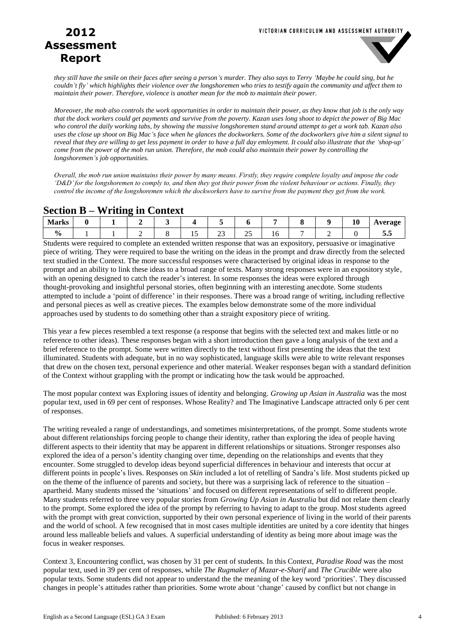

*they still have the smile on their faces after seeing a person's murder. They also says to Terry 'Maybe he could sing, but he couldn't fly' which highlights their violence over the longshoremen who tries to testify again the community and affect them to maintain their power. Therefore, violence is another mean for the mob to maintain their power.*

*Moreover, the mob also controls the work opportunities in order to maintain their power, as they know that job is the only way that the dock workers could get payments and survive from the poverty. Kazan uses long shoot to depict the power of Big Mac who control the daily working tabs, by showing the massive longshoremen stand around attempt to get a work tab. Kazan also uses the close up shoot on Big Mac's face when he glances the dockworkers. Some of the dockworkers give him a silent signal to reveal that they are willing to get less payment in order to have a full day emloyment. It could also illustrate that the 'shop-up' come from the power of the mob run union. Therefore, the mob could also maintain their power by controlling the longshoremen's job opportunities.*

*Overall, the mob run union maintains their power by many means. Firstly, they require complete loyalty and impose the code 'D&D' for the longshoremen to comply to, and then they got their power from the violent behaviour or actions. Finally, they control the income of the longshoremen which the dockworkers have to survive from the payment they get from the work.*

### **Section B – Writing in Context**

| M<br><b>IVIAL NS</b> |  |  |   |                          |                 |     |  | 10 | ነኮባ በል<br>. .<br>່ວ |
|----------------------|--|--|---|--------------------------|-----------------|-----|--|----|---------------------|
| $\frac{6}{9}$        |  |  | ∸ | $\overline{\phantom{a}}$ | - -<br>سە<br>__ | 1 U |  |    | ້                   |

Students were required to complete an extended written response that was an expository, persuasive or imaginative piece of writing. They were required to base the writing on the ideas in the prompt and draw directly from the selected text studied in the Context. The more successful responses were characterised by original ideas in response to the prompt and an ability to link these ideas to a broad range of texts. Many strong responses were in an expository style, with an opening designed to catch the reader's interest. In some responses the ideas were explored through thought-provoking and insightful personal stories, often beginning with an interesting anecdote. Some students attempted to include a 'point of difference' in their responses. There was a broad range of writing, including reflective and personal pieces as well as creative pieces. The examples below demonstrate some of the more individual approaches used by students to do something other than a straight expository piece of writing.

This year a few pieces resembled a text response (a response that begins with the selected text and makes little or no reference to other ideas). These responses began with a short introduction then gave a long analysis of the text and a brief reference to the prompt. Some were written directly to the text without first presenting the ideas that the text illuminated. Students with adequate, but in no way sophisticated, language skills were able to write relevant responses that drew on the chosen text, personal experience and other material. Weaker responses began with a standard definition of the Context without grappling with the prompt or indicating how the task would be approached.

The most popular context was Exploring issues of identity and belonging. *Growing up Asian in Australia* was the most popular text, used in 69 per cent of responses. Whose Reality? and The Imaginative Landscape attracted only 6 per cent of responses.

The writing revealed a range of understandings, and sometimes misinterpretations, of the prompt. Some students wrote about different relationships forcing people to change their identity, rather than exploring the idea of people having different aspects to their identity that may be apparent in different relationships or situations. Stronger responses also explored the idea of a person's identity changing over time, depending on the relationships and events that they encounter. Some struggled to develop ideas beyond superficial differences in behaviour and interests that occur at different points in people's lives. Responses on *Skin* included a lot of retelling of Sandra's life. Most students picked up on the theme of the influence of parents and society, but there was a surprising lack of reference to the situation – apartheid. Many students missed the 'situations' and focused on different representations of self to different people. Many students referred to three very popular stories from *Growing Up Asian in Australia* but did not relate them clearly to the prompt. Some explored the idea of the prompt by referring to having to adapt to the group. Most students agreed with the prompt with great conviction, supported by their own personal experience of living in the world of their parents and the world of school. A few recognised that in most cases multiple identities are united by a core identity that hinges around less malleable beliefs and values. A superficial understanding of identity as being more about image was the focus in weaker responses.

Context 3, Encountering conflict, was chosen by 31 per cent of students. In this Context, *Paradise Road* was the most popular text, used in 39 per cent of responses, while *The Rugmaker of Mazar-e-Sharif* and *The Crucible* were also popular texts. Some students did not appear to understand the the meaning of the key word 'priorities'. They discussed changes in people's attitudes rather than priorities. Some wrote about 'change' caused by conflict but not change in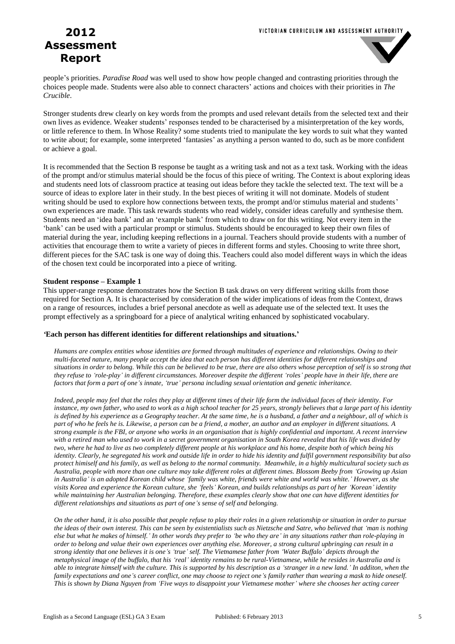

people's priorities. *Paradise Road* was well used to show how people changed and contrasting priorities through the choices people made. Students were also able to connect characters' actions and choices with their priorities in *The Crucible*.

Stronger students drew clearly on key words from the prompts and used relevant details from the selected text and their own lives as evidence. Weaker students' responses tended to be characterised by a misinterpretation of the key words, or little reference to them. In Whose Reality? some students tried to manipulate the key words to suit what they wanted to write about; for example, some interpreted 'fantasies' as anything a person wanted to do, such as be more confident or achieve a goal.

It is recommended that the Section B response be taught as a writing task and not as a text task. Working with the ideas of the prompt and/or stimulus material should be the focus of this piece of writing. The Context is about exploring ideas and students need lots of classroom practice at teasing out ideas before they tackle the selected text. The text will be a source of ideas to explore later in their study. In the best pieces of writing it will not dominate. Models of student writing should be used to explore how connections between texts, the prompt and/or stimulus material and students' own experiences are made. This task rewards students who read widely, consider ideas carefully and synthesise them. Students need an 'idea bank' and an 'example bank' from which to draw on for this writing. Not every item in the 'bank' can be used with a particular prompt or stimulus. Students should be encouraged to keep their own files of material during the year, including keeping reflections in a journal. Teachers should provide students with a number of activities that encourage them to write a variety of pieces in different forms and styles. Choosing to write three short, different pieces for the SAC task is one way of doing this. Teachers could also model different ways in which the ideas of the chosen text could be incorporated into a piece of writing.

#### **Student response – Example 1**

This upper-range response demonstrates how the Section B task draws on very different writing skills from those required for Section A. It is characterised by consideration of the wider implications of ideas from the Context, draws on a range of resources, includes a brief personal anecdote as well as adequate use of the selected text. It uses the prompt effectively as a springboard for a piece of analytical writing enhanced by sophisticated vocabulary.

#### *'***Each person has different identities for different relationships and situations.'**

*Humans are complex entities whose identities are formed through multitudes of experience and relationships. Owing to their multi-faceted nature, many people accept the idea that each person has different identities for different relationships and situations in order to belong. While this can be believed to be true, there are also others whose perception of self is so strong that they refuse to 'role-play' in different circumstances. Moreover despite the different 'roles' people have in their life, there are factors that form a part of one's innate, 'true' persona including sexual orientation and genetic inheritance.*

*Indeed, people may feel that the roles they play at different times of their life form the individual faces of their identity. For instance, my own father, who used to work as a high school teacher for 25 years, strongly believes that a large part of his identity is defined by his experience as a Geography teacher. At the same time, he is a husband, a father and a neighbour, all of which is part of who he feels he is. Likewise, a person can be a friend, a mother, an author and an employer in different situations. A strong example is the FBI, or anyone who works in an organisation that is highly confidential and important. A recent interview with a retired man who used to work in a secret government organisation in South Korea revealed that his life was divided by two, where he had to live as two completely different people at his workplace and his home, despite both of which being his identity. Clearly, he segregated his work and outside life in order to hide his identity and fulfil government responsibility but also protect himiself and his family, as well as belong to the normal community. Meanwhile, in a highly multicultural society such as Australia, people with more than one culture may take different roles at different times. Blossom Beeby from 'Growing up Asian in Australia' is an adopted Korean child whose 'family was white, friends were white and world was white.' However, as she visits Korea and experience the Korean culture, she 'feels' Korean, and builds relationships as part of her 'Korean' identity while maintaining her Australian belonging. Therefore, these examples clearly show that one can have different identities for different relationships and situations as part of one's sense of self and belonging.*

*On the other hand, it is also possible that people refuse to play their roles in a given relationship or situation in order to pursue the ideas of their own interest. This can be seen by existentialists such as Nietzsche and Satre, who believed that 'man is nothing else but what he makes of himself.' In other words they prefer to 'be who they are' in any situations rather than role-playing in order to belong and value their own experiences over anything else. Moreover, a strong cultural upbringing can result in a strong identity that one believes it is one's 'true' self. The Vietnamese father from 'Water Buffalo' depicts through the metaphysical image of the buffalo, that his 'real' identity remains to be rural-Vietnamese, while he resides in Australia and is able to integrate himself with the culture. This is supported by his description as a 'stranger in a new land.' In additon, when the family expectations and one's career conflict, one may choose to reject one's family rather than wearing a mask to hide oneself. This is shown by Diana Nguyen from 'Five ways to disappoint your Vietnamese mother' where she chooses her acting career*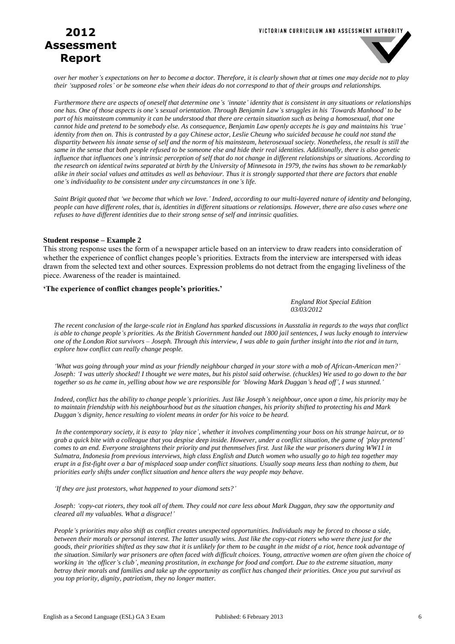

*over her mother's expectations on her to become a doctor. Therefore, it is clearly shown that at times one may decide not to play their 'supposed roles' or be someone else when their ideas do not correspond to that of their groups and relationships.*

*Furthermore there are aspects of oneself that determine one's 'innate' identity that is consistent in any situations or relationships one has. One of those aspects is one's sexual orientation. Through Benjamin Law's struggles in his 'Towards Manhood' to be part of his mainsteam community it can be understood that there are certain situation such as being a homosexual, that one cannot hide and pretend to be somebody else. As consequence, Benjamin Law openly accepts he is gay and maintains his 'true' identity from then on. This is contrasted by a gay Chinese actor, Leslie Cheung who suicided because he could not stand the dispartity between his innate sense of self and the norm of his mainsteam, heterosexual society. Nonetheless, the result is still the same in the sense that both people refused to be someone else and hide their real identities. Additionally, there is also genetic influence that influences one's intrinsic perception of self that do not change in different relationships or situations. According to the research on identical twins separated at birth by the University of Minnesota in 1979, the twins has shown to be remarkably alike in their social values and attitudes as well as behaviour. Thus it is strongly supported that there are factors that enable one's individuality to be consistent under any circumstances in one's life.*

*Saint Brigit quoted that 'we become that which we love.' Indeed, according to our multi-layered nature of identity and belonging, people can have different roles, that is, identities in different situations or relationsips. However, there are also cases where one refuses to have different identities due to their strong sense of self and intrinsic qualities.*

#### **Student response – Example 2**

This strong response uses the form of a newspaper article based on an interview to draw readers into consideration of whether the experience of conflict changes people's priorities. Extracts from the interview are interspersed with ideas drawn from the selected text and other sources. Expression problems do not detract from the engaging liveliness of the piece. Awareness of the reader is maintained.

#### **'The experience of conflict changes people's priorities.'**

*England Riot Special Edition 03/03/2012*

*The recent conclusion of the large-scale riot in England has sparked discussions in Ausstalia in regards to the ways that conflict is able to change people's priorities. As the British Government handed out 1800 jail sentences, I was lucky enough to interview one of the London Riot survivors – Joseph. Through this interview, I was able to gain further insight into the riot and in turn, explore how conflict can really change people.*

*'What was going through your mind as your friendly neighbour charged in your store with a mob of African-American men?' Joseph: 'I was utterly shocked! I thought we were mates, but his pistol said otherwise. (chuckles) We used to go down to the bar together so as he came in, yelling about how we are responsible for 'blowing Mark Duggan's head off', I was stunned.'*

*Indeed, conflict has the ability to change people's priorities. Just like Joseph's neighbour, once upon a time, his priority may be to maintain friendship with his neighbourhood but as the situation changes, his priority shifted to protecting his and Mark Duggan's dignity, hence resulting to violent means in order for his voice to be heard.*

*In the contemporary society, it is easy to 'play nice', whether it involves complimenting your boss on his strange haircut, or to grab a quick bite with a colleague that you despise deep inside. However, under a conflict situation, the game of 'play pretend' comes to an end. Everyone straightens their priority and put thenmselves first. Just like the war prisoners during WW11 in Sulmatra, Indonesia from previous interviews, high class English and Dutch women who usually go to high tea together may erupt in a fist-fight over a bar of misplaced soap under conflict situations. Usually soap means less than nothing to them, but priorities early shifts under conflict situation and hence alters the way people may behave.*

*'If they are just protestors, what happened to your diamond sets?'*

*Joseph: 'copy-cat rioters, they took all of them. They could not care less about Mark Duggan, they saw the opportunity and cleared all my valuables. What a disgrace!'*

*People's priorities may also shift as conflict creates unexpected opportunities. Individuals may be forced to choose a side, between their morals or personal interest. The latter usually wins. Just like the copy-cat rioters who were there just for the goods, their priorities shifted as they saw that it is unlikely for them to be caught in the midst of a riot, hence took advantage of the situation. Similarly war prisoners are often faced with difficult choices. Young, attractive women are often given the choice of working in 'the officer's club', meaning prostitution, in exchange for food and comfort. Due to the extreme situation, many betray their morals and families and take up the opportunity as conflict has changed their priorities. Once you put survival as you top priority, dignity, patriotism, they no longer matter.*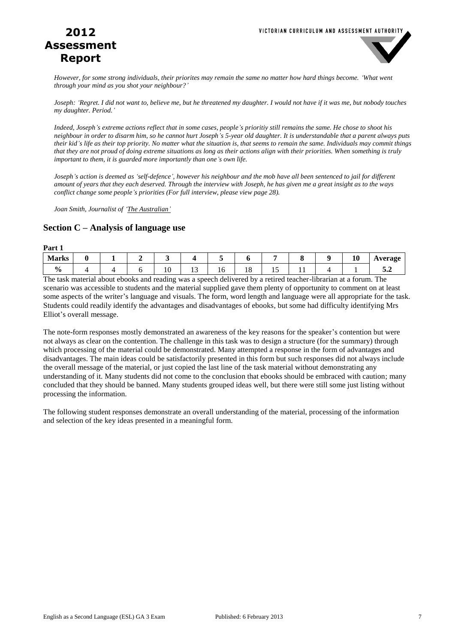

*However, for some strong individuals, their priorites may remain the same no matter how hard things become. 'What went through your mind as you shot your neighbour?'*

*Joseph: 'Regret. I did not want to, believe me, but he threatened my daughter. I would not have if it was me, but nobody touches my daughter. Period.'*

*Indeed, Joseph's extreme actions reflect that in some cases, people's prioritiy still remains the same. He chose to shoot his neighbour in order to disarm him, so he cannot hurt Joseph's 5-year old daughter. It is understandable that a parent always puts their kid's life as their top priority. No matter what the situation is, that seems to remain the same. Individuals may commit things that they are not proud of doing extreme situations as long as their actions align with their priorities. When something is truly important to them, it is guarded more importantly than one's own life.*

*Joseph's action is deemed as 'self-defence', however his neighbour and the mob have all been sentenced to jail for different amount of years that they each deserved. Through the interview with Joseph, he has given me a great insight as to the ways conflict change some people's priorities (For full interview, please view page 28).* 

*Joan Smith, Journalist of 'The Australian'*

### **Section C – Analysis of language use**

| Part 1                                                                                                                                                             |          |   |    |     |    |                          |    |                                                                                                                                                                                                                                                                                                                                                                                                                                                              |    |         |
|--------------------------------------------------------------------------------------------------------------------------------------------------------------------|----------|---|----|-----|----|--------------------------|----|--------------------------------------------------------------------------------------------------------------------------------------------------------------------------------------------------------------------------------------------------------------------------------------------------------------------------------------------------------------------------------------------------------------------------------------------------------------|----|---------|
| <b>Marks</b>                                                                                                                                                       | <u>_</u> | - |    |     |    |                          |    | o                                                                                                                                                                                                                                                                                                                                                                                                                                                            | 10 | Average |
| $\mathbf{0}$<br>70                                                                                                                                                 |          |   | 10 | ⊥ J | 16 | 18                       | 10 | - 1<br>11                                                                                                                                                                                                                                                                                                                                                                                                                                                    |    | ◡๛      |
| $\mathbf{r}$ , $\mathbf{r}$ , $\mathbf{r}$ , $\mathbf{r}$ , $\mathbf{r}$ , $\mathbf{r}$ , $\mathbf{r}$ , $\mathbf{r}$ , $\mathbf{r}$ , $\mathbf{r}$ , $\mathbf{r}$ |          |   |    |     |    | $\overline{\phantom{a}}$ |    | $\mathcal{L} = \mathcal{L} = \mathcal{L} = \mathcal{L} = \mathcal{L} = \mathcal{L} = \mathcal{L} = \mathcal{L} = \mathcal{L} = \mathcal{L} = \mathcal{L} = \mathcal{L} = \mathcal{L} = \mathcal{L} = \mathcal{L} = \mathcal{L} = \mathcal{L} = \mathcal{L} = \mathcal{L} = \mathcal{L} = \mathcal{L} = \mathcal{L} = \mathcal{L} = \mathcal{L} = \mathcal{L} = \mathcal{L} = \mathcal{L} = \mathcal{L} = \mathcal{L} = \mathcal{L} = \mathcal{L} = \mathcal$ |    |         |

The task material about ebooks and reading was a speech delivered by a retired teacher-librarian at a forum. The scenario was accessible to students and the material supplied gave them plenty of opportunity to comment on at least some aspects of the writer's language and visuals. The form, word length and language were all appropriate for the task. Students could readily identify the advantages and disadvantages of ebooks, but some had difficulty identifying Mrs Elliot's overall message.

The note-form responses mostly demonstrated an awareness of the key reasons for the speaker's contention but were not always as clear on the contention. The challenge in this task was to design a structure (for the summary) through which processing of the material could be demonstrated. Many attempted a response in the form of advantages and disadvantages. The main ideas could be satisfactorily presented in this form but such responses did not always include the overall message of the material, or just copied the last line of the task material without demonstrating any understanding of it. Many students did not come to the conclusion that ebooks should be embraced with caution; many concluded that they should be banned. Many students grouped ideas well, but there were still some just listing without processing the information.

The following student responses demonstrate an overall understanding of the material, processing of the information and selection of the key ideas presented in a meaningful form.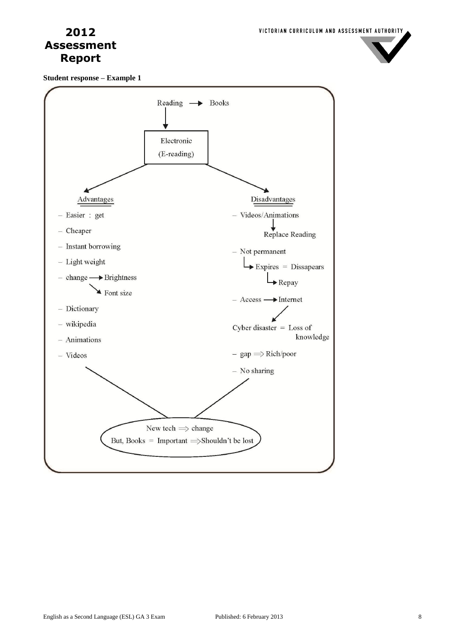

**Student response – Example 1**

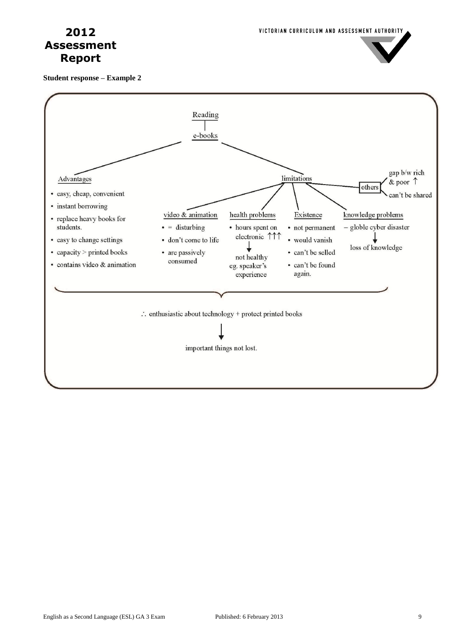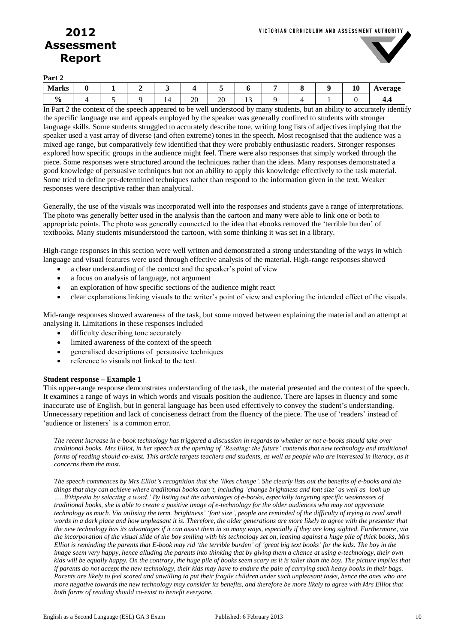

**Part 2**

| -----                    |  |    |    |    |          |  |              |         |
|--------------------------|--|----|----|----|----------|--|--------------|---------|
| Morks<br><b>IVIAI NS</b> |  |    |    |    |          |  | 10<br>$\sim$ | Average |
| $\mathbf{0}_{\Lambda}$   |  | 14 | 20 | 20 | ∽<br>. . |  |              | ┱.┱     |

In Part 2 the context of the speech appeared to be well understood by many students, but an ability to accurately identify the specific language use and appeals employed by the speaker was generally confined to students with stronger language skills. Some students struggled to accurately describe tone, writing long lists of adjectives implying that the speaker used a vast array of diverse (and often extreme) tones in the speech. Most recognised that the audience was a mixed age range, but comparatively few identified that they were probably enthusiastic readers. Stronger responses explored how specific groups in the audience might feel. There were also responses that simply worked through the piece. Some responses were structured around the techniques rather than the ideas. Many responses demonstrated a good knowledge of persuasive techniques but not an ability to apply this knowledge effectively to the task material. Some tried to define pre-determined techniques rather than respond to the information given in the text. Weaker responses were descriptive rather than analytical.

Generally, the use of the visuals was incorporated well into the responses and students gave a range of interpretations. The photo was generally better used in the analysis than the cartoon and many were able to link one or both to appropriate points. The photo was generally connected to the idea that ebooks removed the 'terrible burden' of textbooks. Many students misunderstood the cartoon, with some thinking it was set in a library.

High-range responses in this section were well written and demonstrated a strong understanding of the ways in which language and visual features were used through effective analysis of the material. High-range responses showed

- a clear understanding of the context and the speaker's point of view
- a focus on analysis of language, not argument
- an exploration of how specific sections of the audience might react
- clear explanations linking visuals to the writer's point of view and exploring the intended effect of the visuals.

Mid-range responses showed awareness of the task, but some moved between explaining the material and an attempt at analysing it. Limitations in these responses included

- difficulty describing tone accurately
- limited awareness of the context of the speech
- generalised descriptions of persuasive techniques
- reference to visuals not linked to the text.

#### **Student response – Example 1**

This upper-range response demonstrates understanding of the task, the material presented and the context of the speech. It examines a range of ways in which words and visuals position the audience. There are lapses in fluency and some inaccurate use of English, but in general language has been used effectively to convey the student's understanding. Unnecessary repetition and lack of conciseness detract from the fluency of the piece. The use of 'readers' instead of 'audience or listeners' is a common error.

*The recent increase in e-book technology has triggered a discussion in regards to whether or not e-books should take over traditional books. Mrs Elliot, in her speech at the opening of 'Reading: the future' contends that new technology and traditional forms of reading should co-exist. This article targets teachers and students, as well as people who are interested in literacy, as it concerns them the most.*

*The speech commences by Mrs Elliot's recognition that she 'likes change'. She clearly lists out the benefits of e-books and the things that they can achieve where tradiitonal books can't, including 'change brightness and font size' as well as 'look up …..Wikipedia by selecting a word.' By listing out the advantages of e-books, especially targeting specific weaknesses of traditional books, she is able to create a positive image of e-technology for the older audiences who may not appreciate technology as much. Via utilising the term 'brightness' 'font size', people are reminded of the difficulty of trying to read small words in a dark place and how unpleasant it is. Therefore, the older generations are more likely to agree with the presenter that the new technology has its advantages if it can assist them in so many ways, especially if they are long sighted. Furthermore, via the incorporation of the visual slide of the boy smiling with his technology set on, leaning against a huge pile of thick books, Mrs Elliot is reminding the parents that E-book may rid 'the terrible burden' of 'great big text books' for the kids. The boy in the image seem very happy, hence alluding the parents into thinking that by giving them a chance at using e-technology, their own kids will be equally happy. On the contrary, the huge pile of books seem scary as it is taller than the boy. The picture implies that if parents do not accept the new technology, their kids may have to endure the pain of carrying such heavy books in their bags. Parents are likely to feel scared and unwilling to put their fragile children under such unpleasant tasks, hence the ones who are more negative towards the new technology may consider its benefits, and therefore be more likely to agree with Mrs Elliot that both forms of reading should co-exist to benefit everyone.*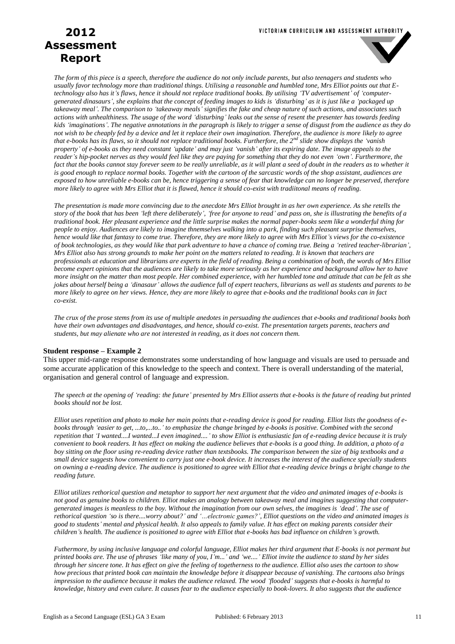#### VICTORIAN CURRICULUM AND ASSESSMENT AUTHORITY

# **2012 Assessment Report**



*The form of this piece is a speech, therefore the audience do not only include parents, but also teenagers and students who usually favor technology more than traditional things. Utilising a reasonable and humbled tone, Mrs Elliot points out that Etechnology also has it's flaws, hence it should not replace traditional books. By utilising 'TV advertisement' of 'computergenerated dinasaurs', she explains that the concept of feeding images to kids is 'disturbing' as it is just like a 'packaged up takeaway meal'. The comparison to 'takeaway meals' signifies the fake and cheap nature of such actions, and associates such actions with unhealthiness. The usage of the word 'disturbing' leaks out the sense of resent the presenter has towards feeding kids 'imaginations'. The negative annotations in the paragraph is likely to trigger a sense of disgust from the audience as they do not wish to be cheaply fed by a device and let it replace their own imagination. Therefore, the audience is more likely to agree that e-books has its flaws, so it should not replace traditional books. Furtherfore, the 2nd slide show displays the 'vanish property' of e-books as they need constant 'update' and may just 'vanish' after its expiring date. The image appeals to the reader's hip-pocket nerves as they would feel like they are paying for something that they do not even 'own'. Furthermore, the*  fact that the books cannot stay forever seem to be really unreliable, as it will plant a seed of doubt in the readers as to whether it *is good enough to replace normal books. Together with the cartoon of the sarcastic words of the shop assistant, audiences are exposed to how unreliable e-books can be, hence triggering a sense of fear that knowledge can no longer be preserved, therefore more likely to agree with Mrs Elliot that it is flawed, hence it should co-exist with tradiitonal means of reading.*

*The presentation is made more convincing due to the anecdote Mrs Elliot brought in as her own experience. As she retells the story of the book that has been 'left there deliberately', 'free for anyone to read' and pass on, she is illustrating the benefits of a traditional book. Her pleasant experience and the little surprise makes the normal paper-books seem like a wonderful thing for people to enjoy. Audiences are likely to imagine thnemselves walking into a park, finding such pleasant surprise themselves, hence would like that fantasy to come true. Therefore, they are more likely to agree with Mrs Elliot's views for the co-existence of book technologies, as they would like that park adventure to have a chance of coming true. Being a 'retired teacher-librarian', Mrs Elliot also has strong grounds to make her point on the matters related to reading. It is known that teachers are professionals at education and librarians are experts in the field of reading. Being a combination of both, the words of Mrs Elliot become expert opinions that the audiences are likely to take more seriously as her experience and background allow her to have more insight on the matter than most people. Her combined experience, with her humbled tone and attitude that can be felt as she jokes about herself being a 'dinasaur' allows the audience full of expert teachers, librarians as well as students and parents to be more likely to agree on her views. Hence, they are more likely to agree that e-books and the traditional books can in fact co-exist.*

*The crux of the prose stems from its use of multiple anedotes in persuading the audiences that e-books and traditional books both have their own advantages and disadvantages, and hence, should co-exist. The presentation targets parents, teachers and students, but may alienate who are not interested in reading, as it does not concern them.*

#### **Student response – Example 2**

This upper mid-range response demonstrates some understanding of how language and visuals are used to persuade and some accurate application of this knowledge to the speech and context. There is overall understanding of the material, organisation and general control of language and expression.

*The speech at the opening of 'reading: the future' presented by Mrs Elliot asserts that e-books is the future of reading but printed books should not be lost.*

*Elliot uses repetition and photo to make her main points that e-reading device is good for reading. Elliot lists the goodness of ebooks through 'easier to get, ...to,...to..' to emphasize the change bringed by e-books is positive. Combined with the second repetition that 'I wanted....I wanted...I even imagined....' to show Elliot is enthusiastic fan of e-reading device because it is truly convenient to book readers. It has effect on making the audience believes that e-books is a good thing. In addition, a photo of a boy sitting on the floor using re-reading device rather than textsbooks. The comparison between the size of big textbooks and a small device suggests how convenient to carry just one e-book device. It increases the interest of the audience specially students on owning a e-reading device. The audience is positioned to agree with Elliot that e-reading device brings a bright change to the reading future.*

*Elliot utilizes rethorical question and metaphor to support her next argument that the video and animated images of e-books is not good as genuine books to children. Elliot makes an analogy between takeaway meal and imagines suggesting that computergenerated images is meanless to the boy. Without the imagination from our own selves, the imagines is 'dead'. The use of rethorical question 'so is there....worry about?' and '…electronic games?', Elliot questions on the video and animated images is good to students' mental and physical health. It also appeals to family value. It has effect on making parents consider their children's health. The audience is positioned to agree with Elliot that e-books has bad influence on children's growth.*

*Futhermore, by using inclusive language and colorful language, Elliot makes her third argument that E-books is not permant but printed books are. The use of phrases 'like many of you, I'm...' and 'we....' Elliot invite the audience to stand by her sides through her sincere tone. It has effect on give the feeling of togetherness to the audience. Elliot also uses the cartoon to show how precious that printed book can maintain the knowledge before it disappear because of vanishing. The cartoons also brings impression to the audience because it makes the audience relaxed. The wood 'flooded' suggests that e-books is harmful to knowledge, history and even culure. It causes fear to the audience especially to book-lovers. It also suggests that the audience*